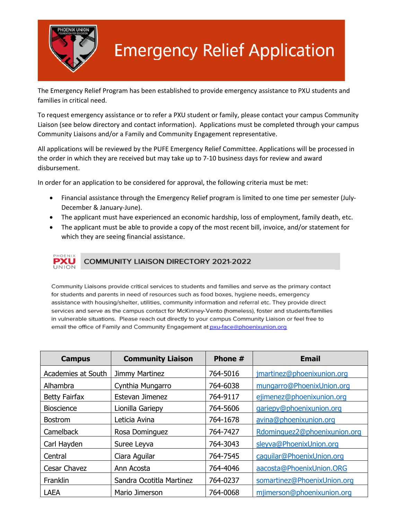

## **Emergency Relief Application**

The Emergency Relief Program has been established to provide emergency assistance to PXU students and families in critical need.

To request emergency assistance or to refer a PXU student or family, please contact your campus Community Liaison (see below directory and contact information). Applications must be completed through your campus Community Liaisons and/or a Family and Community Engagement representative.

All applications will be reviewed by the PUFE Emergency Relief Committee. Applications will be processed in the order in which they are received but may take up to 7-10 business days for review and award disbursement.

In order for an application to be considered for approval, the following criteria must be met:

- Financial assistance through the Emergency Relief program is limited to one time per semester (July-December & January-June).
- The applicant must have experienced an economic hardship, loss of employment, family death, etc.
- The applicant must be able to provide a copy of the most recent bill, invoice, and/or statement for which they are seeing financial assistance.



Community Liaisons provide critical services to students and families and serve as the primary contact for students and parents in need of resources such as food boxes, hygiene needs, emergency assistance with housing/shelter, utilities, community information and referral etc. They provide direct services and serve as the campus contact for McKinney-Vento (homeless), foster and students/families in vulnerable situations. Please reach out directly to your campus Community Liaison or feel free to email the office of Family and Community Engagement at pxu-face@phoenixunion.org

| <b>Campus</b>        | <b>Community Liaison</b> | Phone #  | <b>Email</b>                 |
|----------------------|--------------------------|----------|------------------------------|
| Academies at South   | Jimmy Martinez           | 764-5016 | jmartinez@phoenixunion.org   |
| Alhambra             | Cynthia Mungarro         | 764-6038 | mungarro@PhoenixUnion.org    |
| <b>Betty Fairfax</b> | Estevan Jimenez          | 764-9117 | ejimenez@phoenixunion.org    |
| <b>Bioscience</b>    | Lionilla Gariepy         | 764-5606 | gariepy@phoenixunion.org     |
| <b>Bostrom</b>       | Leticia Avina            | 764-1678 | avina@phoenixunion.org       |
| <b>Camelback</b>     | Rosa Dominguez           | 764-7427 | Rdominguez2@phoenixunion.org |
| Carl Hayden          | Suree Leyva              | 764-3043 | sleyva@PhoenixUnion.org      |
| Central              | Ciara Aguilar            | 764-7545 | caguilar@PhoenixUnion.org    |
| Cesar Chavez         | Ann Acosta               | 764-4046 | aacosta@PhoenixUnion.ORG     |
| Franklin             | Sandra Ocotitla Martinez | 764-0237 | somartinez@PhoenixUnion.org  |
| <b>LAEA</b>          | Mario Jimerson           | 764-0068 | mjimerson@phoenixunion.org   |